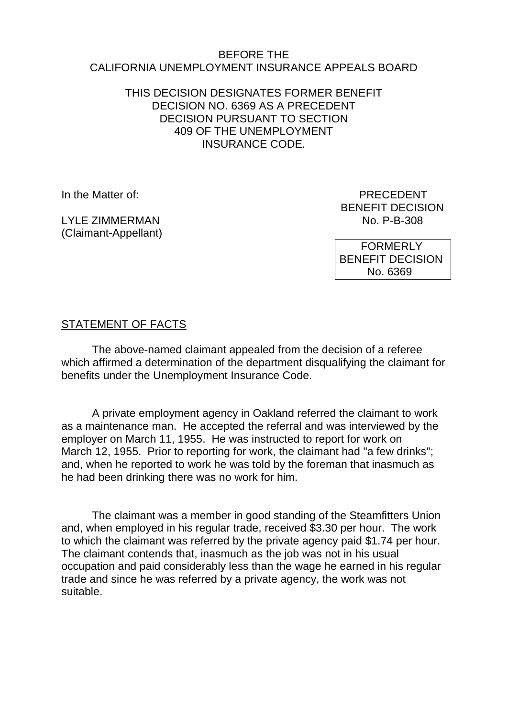#### BEFORE THE CALIFORNIA UNEMPLOYMENT INSURANCE APPEALS BOARD

### THIS DECISION DESIGNATES FORMER BENEFIT DECISION NO. 6369 AS A PRECEDENT DECISION PURSUANT TO SECTION 409 OF THE UNEMPLOYMENT INSURANCE CODE.

LYLE ZIMMERMAN (Claimant-Appellant)

In the Matter of: PRECEDENT BENEFIT DECISION<br>No. P-B-308

> FORMERLY BENEFIT DECISION No. 6369

# STATEMENT OF FACTS

The above-named claimant appealed from the decision of a referee which affirmed a determination of the department disqualifying the claimant for benefits under the Unemployment Insurance Code.

A private employment agency in Oakland referred the claimant to work as a maintenance man. He accepted the referral and was interviewed by the employer on March 11, 1955. He was instructed to report for work on March 12, 1955. Prior to reporting for work, the claimant had "a few drinks"; and, when he reported to work he was told by the foreman that inasmuch as he had been drinking there was no work for him.

The claimant was a member in good standing of the Steamfitters Union and, when employed in his regular trade, received \$3.30 per hour. The work to which the claimant was referred by the private agency paid \$1.74 per hour. The claimant contends that, inasmuch as the job was not in his usual occupation and paid considerably less than the wage he earned in his regular trade and since he was referred by a private agency, the work was not suitable.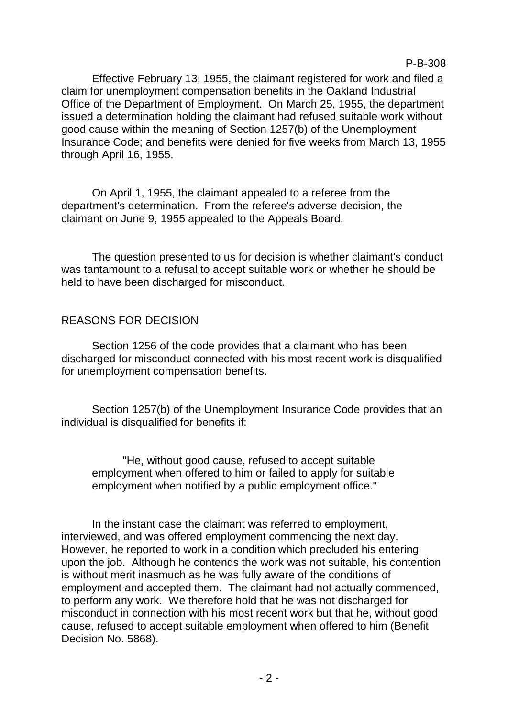P-B-308

Effective February 13, 1955, the claimant registered for work and filed a claim for unemployment compensation benefits in the Oakland Industrial Office of the Department of Employment. On March 25, 1955, the department issued a determination holding the claimant had refused suitable work without good cause within the meaning of Section 1257(b) of the Unemployment Insurance Code; and benefits were denied for five weeks from March 13, 1955 through April 16, 1955.

On April 1, 1955, the claimant appealed to a referee from the department's determination. From the referee's adverse decision, the claimant on June 9, 1955 appealed to the Appeals Board.

The question presented to us for decision is whether claimant's conduct was tantamount to a refusal to accept suitable work or whether he should be held to have been discharged for misconduct.

### REASONS FOR DECISION

Section 1256 of the code provides that a claimant who has been discharged for misconduct connected with his most recent work is disqualified for unemployment compensation benefits.

Section 1257(b) of the Unemployment Insurance Code provides that an individual is disqualified for benefits if:

"He, without good cause, refused to accept suitable employment when offered to him or failed to apply for suitable employment when notified by a public employment office."

In the instant case the claimant was referred to employment, interviewed, and was offered employment commencing the next day. However, he reported to work in a condition which precluded his entering upon the job. Although he contends the work was not suitable, his contention is without merit inasmuch as he was fully aware of the conditions of employment and accepted them. The claimant had not actually commenced, to perform any work. We therefore hold that he was not discharged for misconduct in connection with his most recent work but that he, without good cause, refused to accept suitable employment when offered to him (Benefit Decision No. 5868).